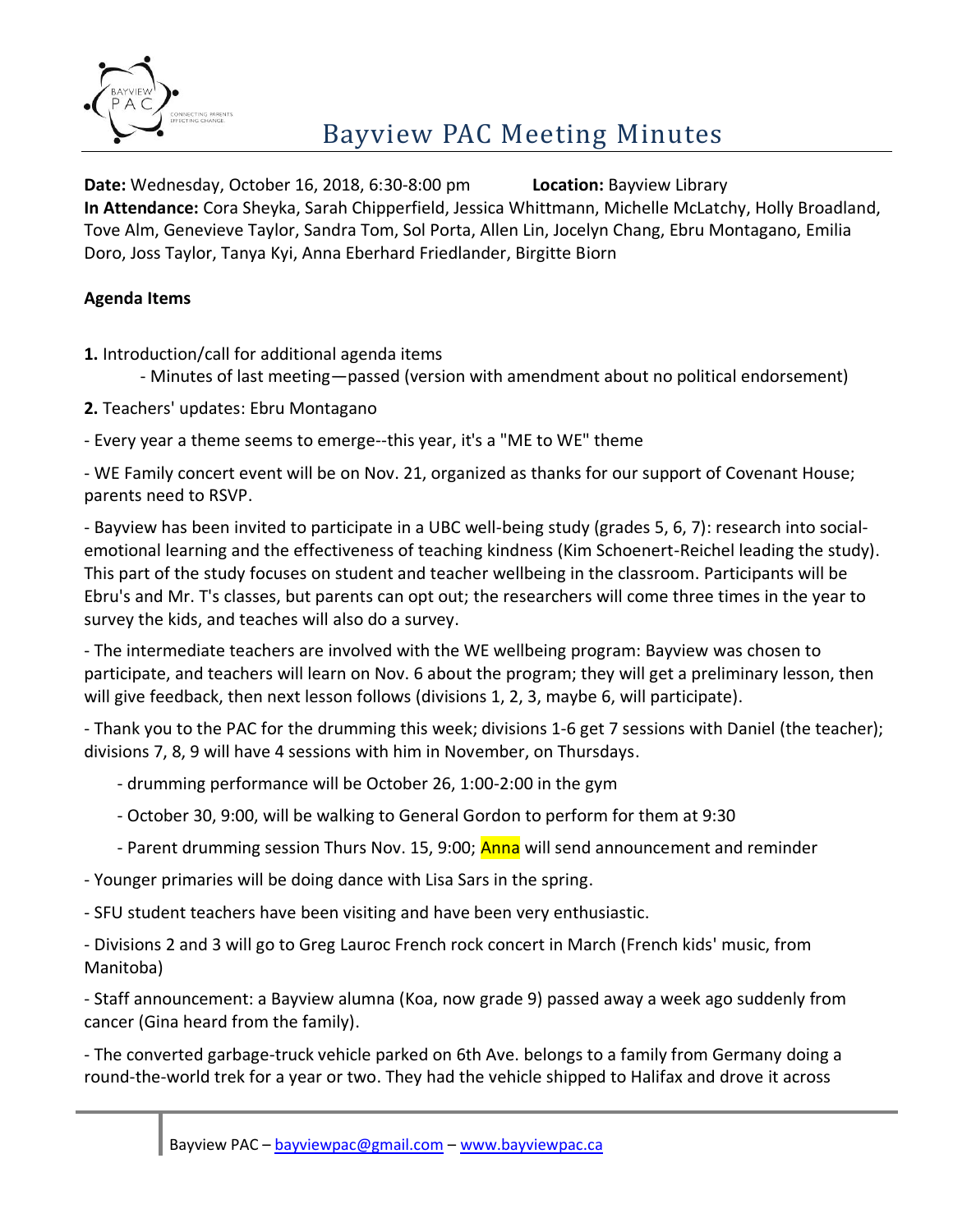

**Date:** Wednesday, October 16, 2018, 6:30-8:00 pm **Location:** Bayview Library **In Attendance:** Cora Sheyka, Sarah Chipperfield, Jessica Whittmann, Michelle McLatchy, Holly Broadland, Tove Alm, Genevieve Taylor, Sandra Tom, Sol Porta, Allen Lin, Jocelyn Chang, Ebru Montagano, Emilia Doro, Joss Taylor, Tanya Kyi, Anna Eberhard Friedlander, Birgitte Biorn

### **Agenda Items**

**1.** Introduction/call for additional agenda items

- Minutes of last meeting—passed (version with amendment about no political endorsement)

**2.** Teachers' updates: Ebru Montagano

- Every year a theme seems to emerge--this year, it's a "ME to WE" theme

- WE Family concert event will be on Nov. 21, organized as thanks for our support of Covenant House; parents need to RSVP.

- Bayview has been invited to participate in a UBC well-being study (grades 5, 6, 7): research into socialemotional learning and the effectiveness of teaching kindness (Kim Schoenert-Reichel leading the study). This part of the study focuses on student and teacher wellbeing in the classroom. Participants will be Ebru's and Mr. T's classes, but parents can opt out; the researchers will come three times in the year to survey the kids, and teaches will also do a survey.

- The intermediate teachers are involved with the WE wellbeing program: Bayview was chosen to participate, and teachers will learn on Nov. 6 about the program; they will get a preliminary lesson, then will give feedback, then next lesson follows (divisions 1, 2, 3, maybe 6, will participate).

- Thank you to the PAC for the drumming this week; divisions 1-6 get 7 sessions with Daniel (the teacher); divisions 7, 8, 9 will have 4 sessions with him in November, on Thursdays.

- drumming performance will be October 26, 1:00-2:00 in the gym
- October 30, 9:00, will be walking to General Gordon to perform for them at 9:30
- Parent drumming session Thurs Nov. 15, 9:00; **Anna** will send announcement and reminder

- Younger primaries will be doing dance with Lisa Sars in the spring.

- SFU student teachers have been visiting and have been very enthusiastic.

- Divisions 2 and 3 will go to Greg Lauroc French rock concert in March (French kids' music, from Manitoba)

- Staff announcement: a Bayview alumna (Koa, now grade 9) passed away a week ago suddenly from cancer (Gina heard from the family).

- The converted garbage-truck vehicle parked on 6th Ave. belongs to a family from Germany doing a round-the-world trek for a year or two. They had the vehicle shipped to Halifax and drove it across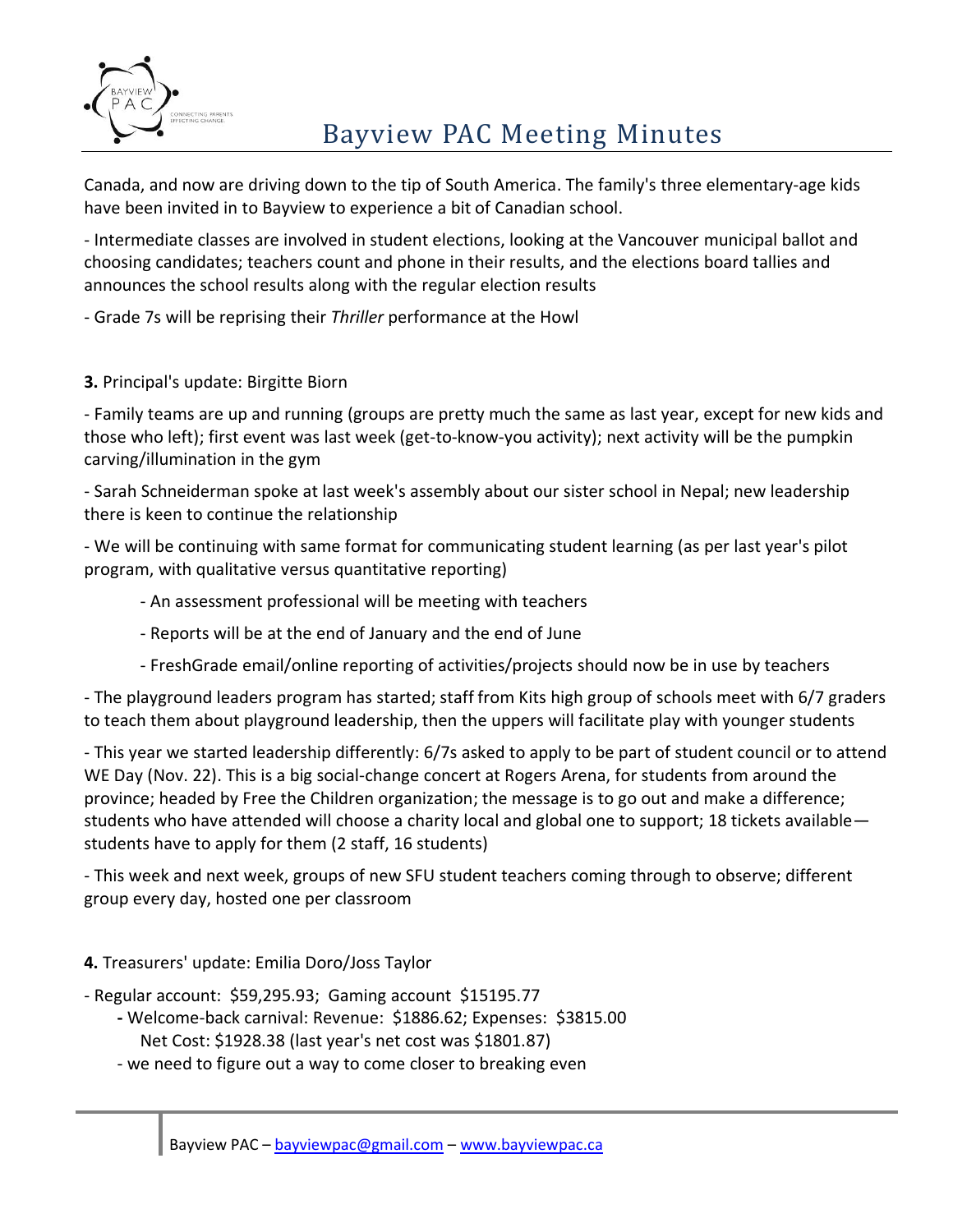

# Bayview PAC Meeting Minutes

Canada, and now are driving down to the tip of South America. The family's three elementary-age kids have been invited in to Bayview to experience a bit of Canadian school.

- Intermediate classes are involved in student elections, looking at the Vancouver municipal ballot and choosing candidates; teachers count and phone in their results, and the elections board tallies and announces the school results along with the regular election results

- Grade 7s will be reprising their *Thriller* performance at the Howl

### **3.** Principal's update: Birgitte Biorn

- Family teams are up and running (groups are pretty much the same as last year, except for new kids and those who left); first event was last week (get-to-know-you activity); next activity will be the pumpkin carving/illumination in the gym

- Sarah Schneiderman spoke at last week's assembly about our sister school in Nepal; new leadership there is keen to continue the relationship

- We will be continuing with same format for communicating student learning (as per last year's pilot program, with qualitative versus quantitative reporting)

- An assessment professional will be meeting with teachers
- Reports will be at the end of January and the end of June
- FreshGrade email/online reporting of activities/projects should now be in use by teachers

- The playground leaders program has started; staff from Kits high group of schools meet with 6/7 graders to teach them about playground leadership, then the uppers will facilitate play with younger students

- This year we started leadership differently: 6/7s asked to apply to be part of student council or to attend WE Day (Nov. 22). This is a big social-change concert at Rogers Arena, for students from around the province; headed by Free the Children organization; the message is to go out and make a difference; students who have attended will choose a charity local and global one to support; 18 tickets available students have to apply for them (2 staff, 16 students)

- This week and next week, groups of new SFU student teachers coming through to observe; different group every day, hosted one per classroom

### **4.** Treasurers' update: Emilia Doro/Joss Taylor

- Regular account: \$59,295.93; Gaming account \$15195.77
	- **-** Welcome-back carnival: Revenue: \$1886.62; Expenses: \$3815.00 Net Cost: \$1928.38 (last year's net cost was \$1801.87)
	- we need to figure out a way to come closer to breaking even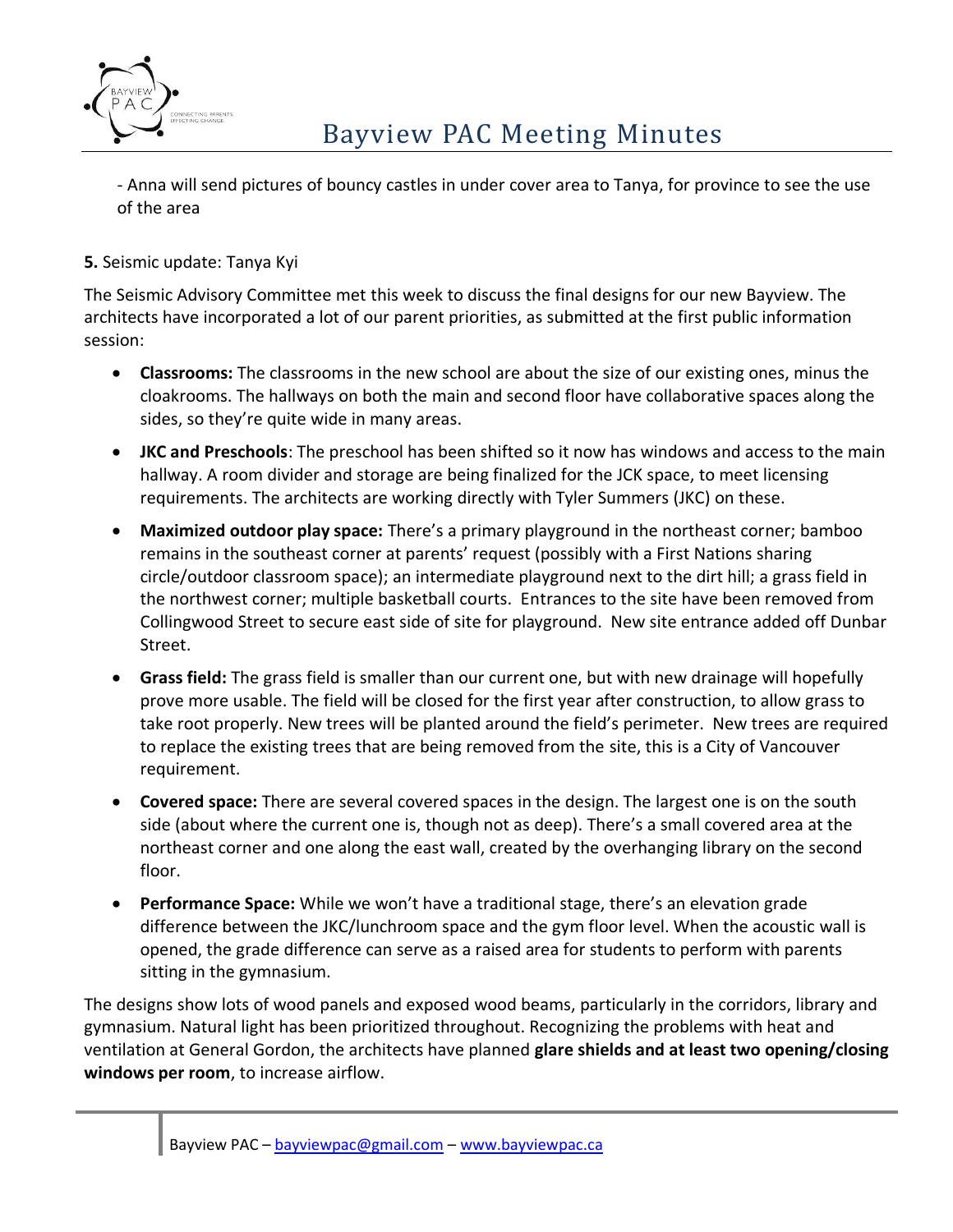

- Anna will send pictures of bouncy castles in under cover area to Tanya, for province to see the use of the area

### **5.** Seismic update: Tanya Kyi

The Seismic Advisory Committee met this week to discuss the final designs for our new Bayview. The architects have incorporated a lot of our parent priorities, as submitted at the first public information session:

- **Classrooms:** The classrooms in the new school are about the size of our existing ones, minus the cloakrooms. The hallways on both the main and second floor have collaborative spaces along the sides, so they're quite wide in many areas.
- **JKC and Preschools**: The preschool has been shifted so it now has windows and access to the main hallway. A room divider and storage are being finalized for the JCK space, to meet licensing requirements. The architects are working directly with Tyler Summers (JKC) on these.
- **Maximized outdoor play space:** There's a primary playground in the northeast corner; bamboo remains in the southeast corner at parents' request (possibly with a First Nations sharing circle/outdoor classroom space); an intermediate playground next to the dirt hill; a grass field in the northwest corner; multiple basketball courts. Entrances to the site have been removed from Collingwood Street to secure east side of site for playground. New site entrance added off Dunbar Street.
- **Grass field:** The grass field is smaller than our current one, but with new drainage will hopefully prove more usable. The field will be closed for the first year after construction, to allow grass to take root properly. New trees will be planted around the field's perimeter. New trees are required to replace the existing trees that are being removed from the site, this is a City of Vancouver requirement.
- **Covered space:** There are several covered spaces in the design. The largest one is on the south side (about where the current one is, though not as deep). There's a small covered area at the northeast corner and one along the east wall, created by the overhanging library on the second floor.
- **Performance Space:** While we won't have a traditional stage, there's an elevation grade difference between the JKC/lunchroom space and the gym floor level. When the acoustic wall is opened, the grade difference can serve as a raised area for students to perform with parents sitting in the gymnasium.

The designs show lots of wood panels and exposed wood beams, particularly in the corridors, library and gymnasium. Natural light has been prioritized throughout. Recognizing the problems with heat and ventilation at General Gordon, the architects have planned **glare shields and at least two opening/closing windows per room**, to increase airflow.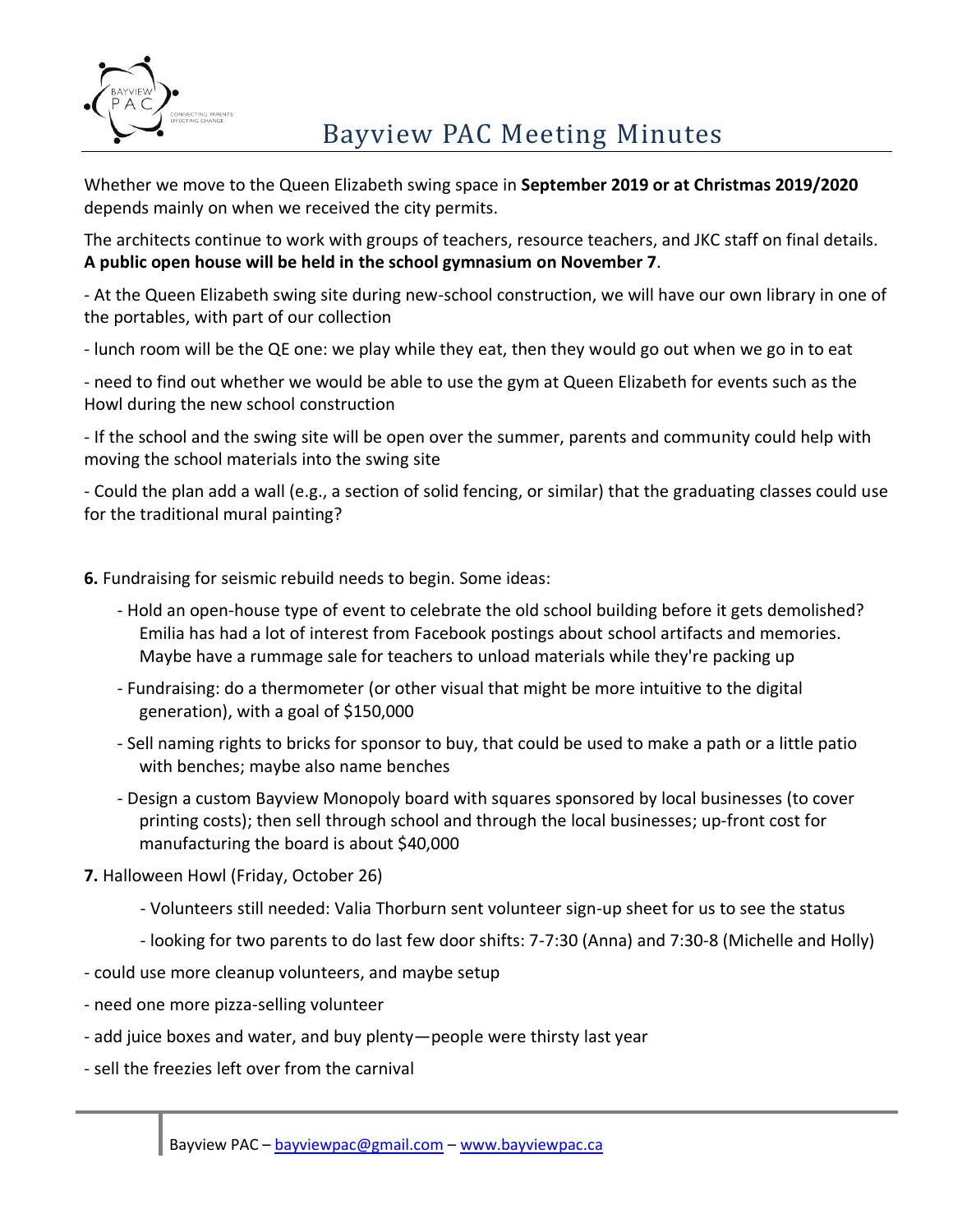

## Bayview PAC Meeting Minutes

Whether we move to the Queen Elizabeth swing space in **September 2019 or at Christmas 2019/2020** depends mainly on when we received the city permits.

The architects continue to work with groups of teachers, resource teachers, and JKC staff on final details. **A public open house will be held in the school gymnasium on November 7**.

- At the Queen Elizabeth swing site during new-school construction, we will have our own library in one of the portables, with part of our collection

- lunch room will be the QE one: we play while they eat, then they would go out when we go in to eat

- need to find out whether we would be able to use the gym at Queen Elizabeth for events such as the Howl during the new school construction

- If the school and the swing site will be open over the summer, parents and community could help with moving the school materials into the swing site

- Could the plan add a wall (e.g., a section of solid fencing, or similar) that the graduating classes could use for the traditional mural painting?

**6.** Fundraising for seismic rebuild needs to begin. Some ideas:

- Hold an open-house type of event to celebrate the old school building before it gets demolished? Emilia has had a lot of interest from Facebook postings about school artifacts and memories. Maybe have a rummage sale for teachers to unload materials while they're packing up
- Fundraising: do a thermometer (or other visual that might be more intuitive to the digital generation), with a goal of \$150,000
- Sell naming rights to bricks for sponsor to buy, that could be used to make a path or a little patio with benches; maybe also name benches
- Design a custom Bayview Monopoly board with squares sponsored by local businesses (to cover printing costs); then sell through school and through the local businesses; up-front cost for manufacturing the board is about \$40,000

**7.** Halloween Howl (Friday, October 26)

- Volunteers still needed: Valia Thorburn sent volunteer sign-up sheet for us to see the status
- looking for two parents to do last few door shifts: 7-7:30 (Anna) and 7:30-8 (Michelle and Holly)
- could use more cleanup volunteers, and maybe setup
- need one more pizza-selling volunteer
- add juice boxes and water, and buy plenty—people were thirsty last year
- sell the freezies left over from the carnival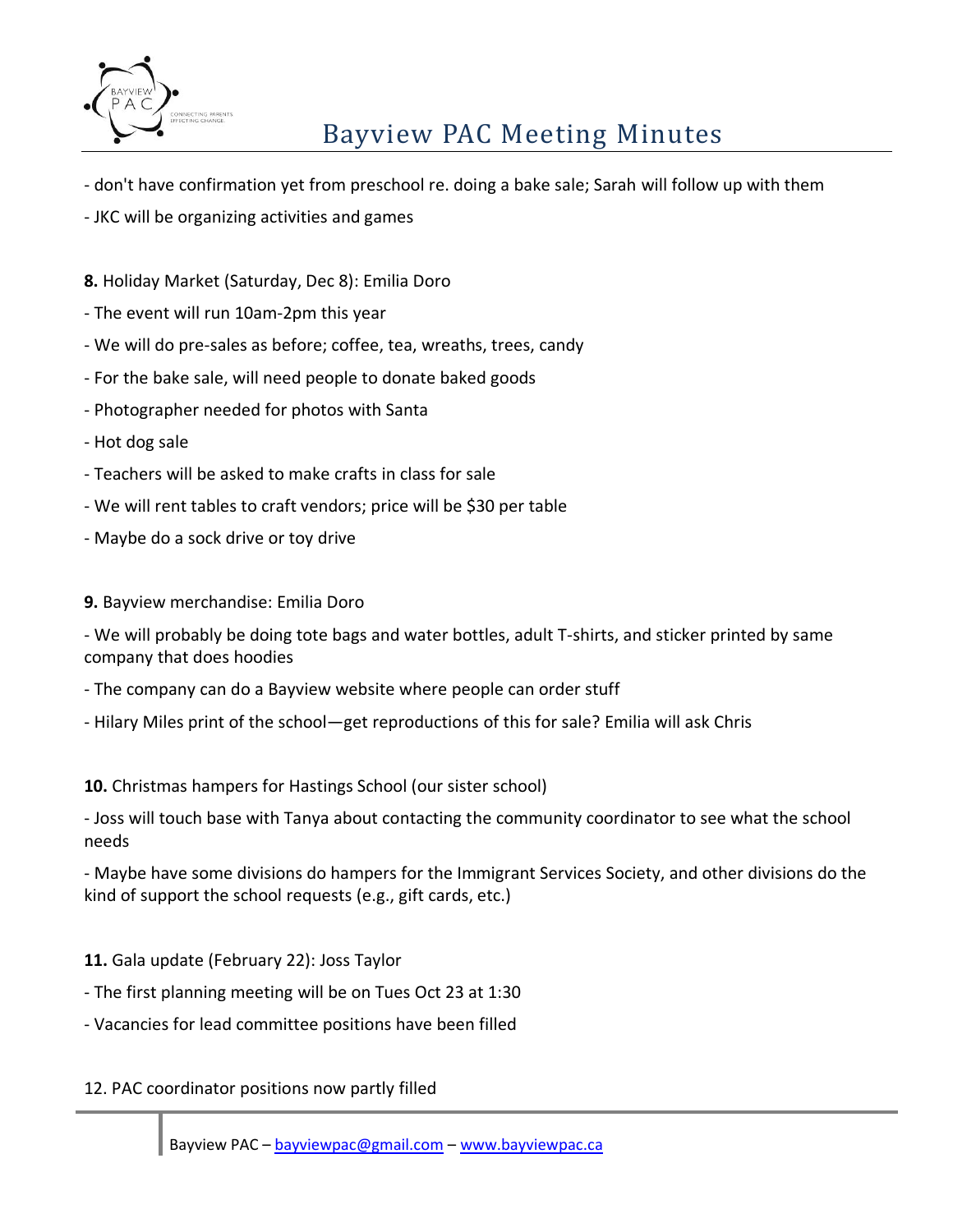

# Bayview PAC Meeting Minutes

- don't have confirmation yet from preschool re. doing a bake sale; Sarah will follow up with them
- JKC will be organizing activities and games
- **8.** Holiday Market (Saturday, Dec 8): Emilia Doro
- The event will run 10am-2pm this year
- We will do pre-sales as before; coffee, tea, wreaths, trees, candy
- For the bake sale, will need people to donate baked goods
- Photographer needed for photos with Santa
- Hot dog sale
- Teachers will be asked to make crafts in class for sale
- We will rent tables to craft vendors; price will be \$30 per table
- Maybe do a sock drive or toy drive
- **9.** Bayview merchandise: Emilia Doro

- We will probably be doing tote bags and water bottles, adult T-shirts, and sticker printed by same company that does hoodies

- The company can do a Bayview website where people can order stuff
- Hilary Miles print of the school—get reproductions of this for sale? Emilia will ask Chris

#### **10.** Christmas hampers for Hastings School (our sister school)

- Joss will touch base with Tanya about contacting the community coordinator to see what the school needs

- Maybe have some divisions do hampers for the Immigrant Services Society, and other divisions do the kind of support the school requests (e.g., gift cards, etc.)

- **11.** Gala update (February 22): Joss Taylor
- The first planning meeting will be on Tues Oct 23 at 1:30
- Vacancies for lead committee positions have been filled
- 12. PAC coordinator positions now partly filled